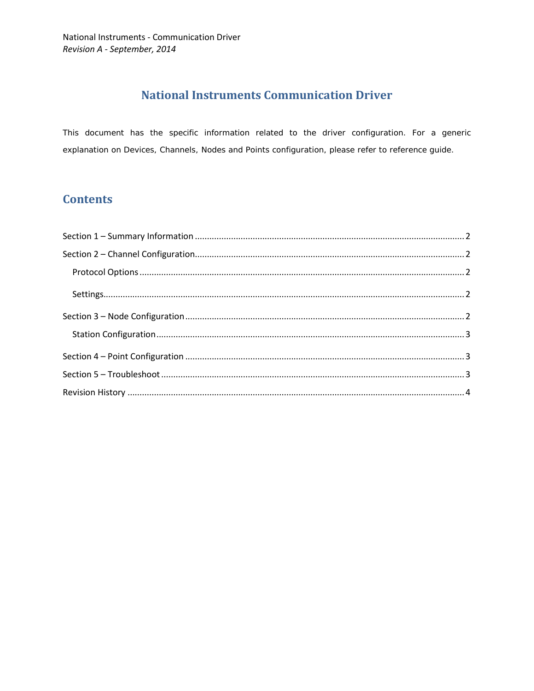# **National Instruments Communication Driver**

This document has the specific information related to the driver configuration. For a generic explanation on Devices, Channels, Nodes and Points configuration, please refer to reference guide.

# **Contents**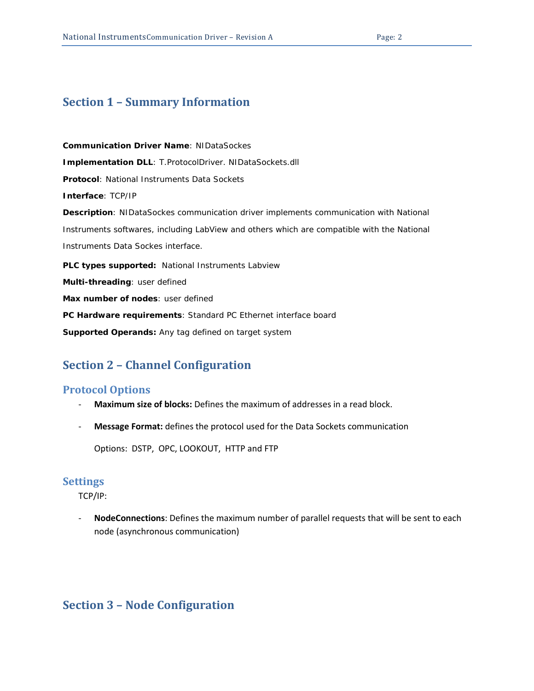# <span id="page-1-0"></span>**Section 1 – Summary Information**

**Communication Driver Name**: NIDataSockes **Implementation DLL**: T.ProtocolDriver. NIDataSockets.dll **Protocol**: National Instruments Data Sockets **Interface**: TCP/IP **Description**: NIDataSockes communication driver implements communication with National Instruments softwares, including LabView and others which are compatible with the National Instruments Data Sockes interface. **PLC types supported:** National Instruments Labview **Multi-threading**: user defined **Max number of nodes**: user defined **PC Hardware requirements**: Standard PC Ethernet interface board

<span id="page-1-1"></span>**Supported Operands:** Any tag defined on target system

### **Section 2 – Channel Configuration**

#### <span id="page-1-2"></span>**Protocol Options**

- **Maximum size of blocks:** Defines the maximum of addresses in a read block.
- **Message Format:** defines the protocol used for the Data Sockets communication

Options: DSTP, OPC, LOOKOUT, HTTP and FTP

#### <span id="page-1-3"></span>**Settings**

TCP/IP:

- **NodeConnections**: Defines the maximum number of parallel requests that will be sent to each node (asynchronous communication)

### <span id="page-1-4"></span>**Section 3 – Node Configuration**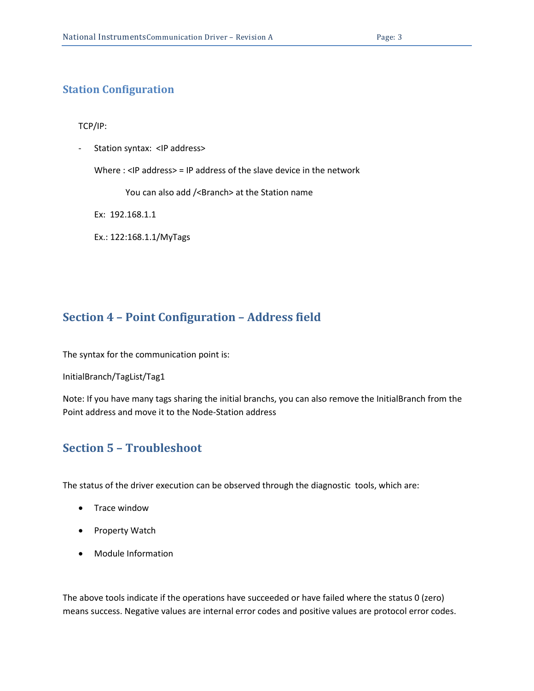#### <span id="page-2-0"></span>**Station Configuration**

TCP/IP:

- Station syntax: <IP address>

Where : <IP address> = IP address of the slave device in the network

You can also add /<Branch> at the Station name

Ex: 192.168.1.1

Ex.: 122:168.1.1/MyTags

### <span id="page-2-1"></span>**Section 4 – Point Configuration – Address field**

The syntax for the communication point is:

InitialBranch/TagList/Tag1

Note: If you have many tags sharing the initial branchs, you can also remove the InitialBranch from the Point address and move it to the Node-Station address

## <span id="page-2-2"></span>**Section 5 – Troubleshoot**

The status of the driver execution can be observed through the diagnostic tools, which are:

- Trace window
- Property Watch
- Module Information

The above tools indicate if the operations have succeeded or have failed where the status 0 (zero) means success. Negative values are internal error codes and positive values are protocol error codes.